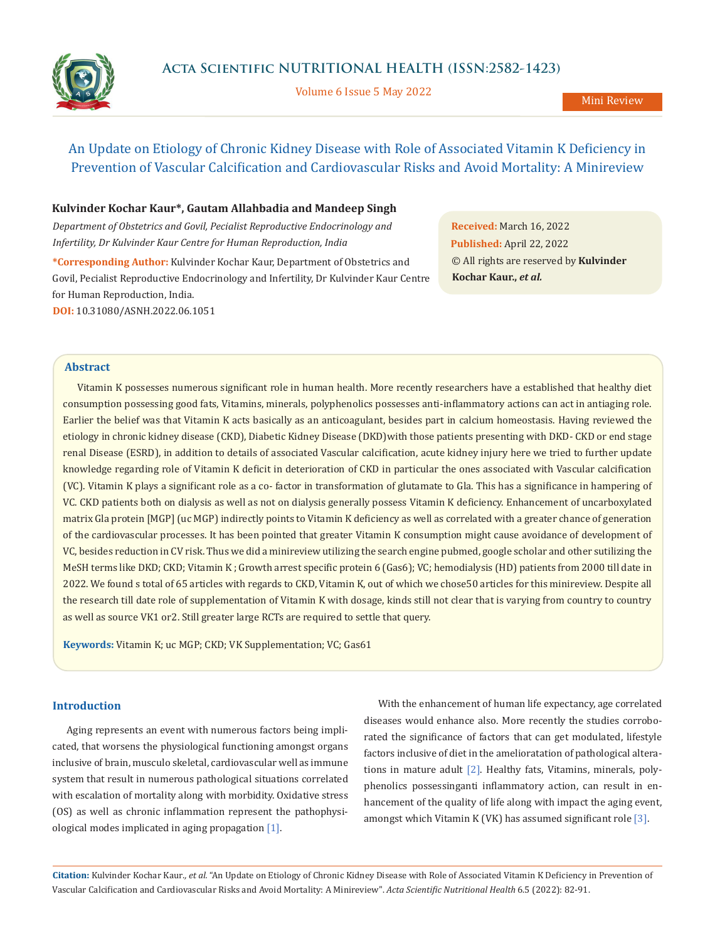

Volume 6 Issue 5 May 2022

# An Update on Etiology of Chronic Kidney Disease with Role of Associated Vitamin K Deficiency in Prevention of Vascular Calcification and Cardiovascular Risks and Avoid Mortality: A Minireview

### **Kulvinder Kochar Kaur\*, Gautam Allahbadia and Mandeep Singh**

*Department of Obstetrics and Govil, Pecialist Reproductive Endocrinology and Infertility, Dr Kulvinder Kaur Centre for Human Reproduction, India*

**\*Corresponding Author:** Kulvinder Kochar Kaur, Department of Obstetrics and Govil, Pecialist Reproductive Endocrinology and Infertility, Dr Kulvinder Kaur Centre for Human Reproduction, India. **DOI:** [10.31080/ASNH.2022.06.1051](https://www.actascientific.com/ASNH/pdf/ASNH-06-1051.pdf)

**Received:** March 16, 2022 **Published:** April 22, 2022 © All rights are reserved by **Kulvinder Kochar Kaur.,** *et al.*

## **Abstract**

Vitamin K possesses numerous significant role in human health. More recently researchers have a established that healthy diet consumption possessing good fats, Vitamins, minerals, polyphenolics possesses anti-inflammatory actions can act in antiaging role. Earlier the belief was that Vitamin K acts basically as an anticoagulant, besides part in calcium homeostasis. Having reviewed the etiology in chronic kidney disease (CKD), Diabetic Kidney Disease (DKD)with those patients presenting with DKD- CKD or end stage renal Disease (ESRD), in addition to details of associated Vascular calcification, acute kidney injury here we tried to further update knowledge regarding role of Vitamin K deficit in deterioration of CKD in particular the ones associated with Vascular calcification (VC). Vitamin K plays a significant role as a co- factor in transformation of glutamate to Gla. This has a significance in hampering of VC. CKD patients both on dialysis as well as not on dialysis generally possess Vitamin K deficiency. Enhancement of uncarboxylated matrix Gla protein [MGP] (uc MGP) indirectly points to Vitamin K deficiency as well as correlated with a greater chance of generation of the cardiovascular processes. It has been pointed that greater Vitamin K consumption might cause avoidance of development of VC, besides reduction in CV risk. Thus we did a minireview utilizing the search engine pubmed, google scholar and other sutilizing the MeSH terms like DKD; CKD; Vitamin K ; Growth arrest specific protein 6 (Gas6); VC; hemodialysis (HD) patients from 2000 till date in 2022. We found s total of 65 articles with regards to CKD, Vitamin K, out of which we chose50 articles for this minireview. Despite all the research till date role of supplementation of Vitamin K with dosage, kinds still not clear that is varying from country to country as well as source VK1 or2. Still greater large RCTs are required to settle that query.

**Keywords:** Vitamin K; uc MGP; CKD; VK Supplementation; VC; Gas61

## **Introduction**

Aging represents an event with numerous factors being implicated, that worsens the physiological functioning amongst organs inclusive of brain, musculo skeletal, cardiovascular well as immune system that result in numerous pathological situations correlated with escalation of mortality along with morbidity. Oxidative stress (OS) as well as chronic inflammation represent the pathophysiological modes implicated in aging propagation [1].

With the enhancement of human life expectancy, age correlated diseases would enhance also. More recently the studies corroborated the significance of factors that can get modulated, lifestyle factors inclusive of diet in the amelioratation of pathological alterations in mature adult [2]. Healthy fats, Vitamins, minerals, polyphenolics possessinganti inflammatory action, can result in enhancement of the quality of life along with impact the aging event, amongst which Vitamin K (VK) has assumed significant role [3].

**Citation:** Kulvinder Kochar Kaur*., et al.* "An Update on Etiology of Chronic Kidney Disease with Role of Associated Vitamin K Deficiency in Prevention of Vascular Calcification and Cardiovascular Risks and Avoid Mortality: A Minireview". *Acta Scientific Nutritional Health* 6.5 (2022): 82-91.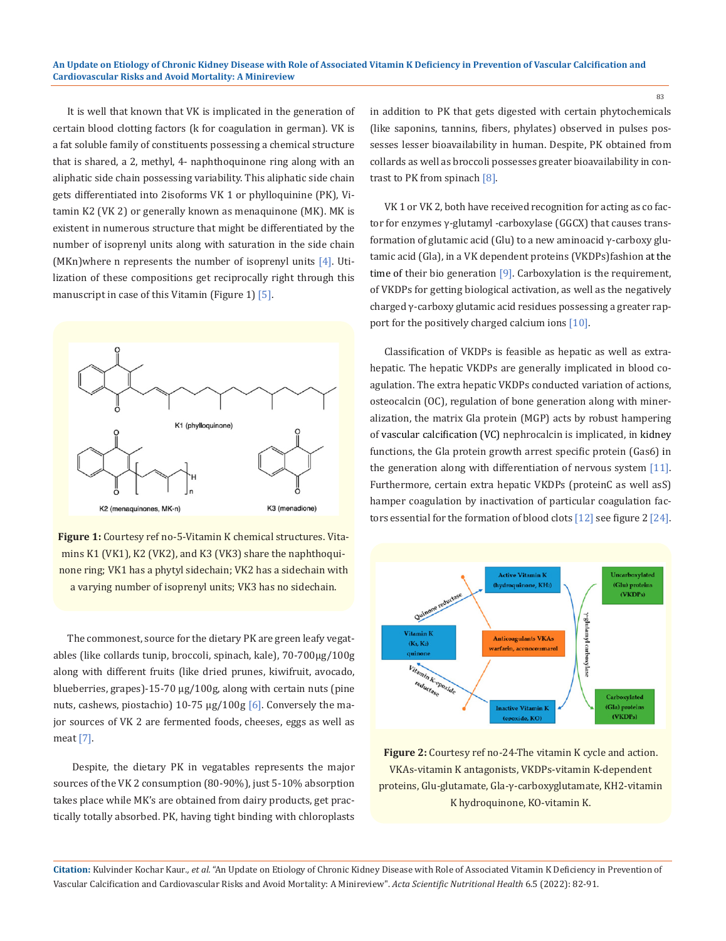It is well that known that VK is implicated in the generation of certain blood clotting factors (k for coagulation in german). VK is a fat soluble family of constituents possessing a chemical structure that is shared, a 2, methyl, 4- naphthoquinone ring along with an aliphatic side chain possessing variability. This aliphatic side chain gets differentiated into 2isoforms VK 1 or phylloquinine (PK), Vitamin K2 (VK 2) or generally known as menaquinone (MK). MK is existent in numerous structure that might be differentiated by the number of isoprenyl units along with saturation in the side chain (MKn)where n represents the number of isoprenyl units [4]. Utilization of these compositions get reciprocally right through this manuscript in case of this Vitamin (Figure 1) [5].



**Figure 1:** Courtesy ref no-5-Vitamin K chemical structures. Vitamins K1 (VK1), K2 (VK2), and K3 (VK3) share the naphthoquinone ring; VK1 has a phytyl sidechain; VK2 has a sidechain with a varying number of isoprenyl units; VK3 has no sidechain.

The commonest, source for the dietary PK are green leafy vegatables (like collards tunip, broccoli, spinach, kale), 70-700μg/100g along with different fruits (like dried prunes, kiwifruit, avocado, blueberries, grapes)-15-70 μg/100g, along with certain nuts (pine nuts, cashews, piostachio) 10-75 μg/100g [6]. Conversely the major sources of VK 2 are fermented foods, cheeses, eggs as well as meat [7].

 Despite, the dietary PK in vegatables represents the major sources of the VK 2 consumption (80-90%), just 5-10% absorption takes place while MK's are obtained from dairy products, get practically totally absorbed. PK, having tight binding with chloroplasts in addition to PK that gets digested with certain phytochemicals (like saponins, tannins, fibers, phylates) observed in pulses possesses lesser bioavailability in human. Despite, PK obtained from collards as well as broccoli possesses greater bioavailability in contrast to PK from spinach [8].

VK 1 or VK 2, both have received recognition for acting as co factor for enzymes γ-glutamyl -carboxylase (GGCX) that causes transformation of glutamic acid (Glu) to a new aminoacid γ-carboxy glutamic acid (Gla), in a VK dependent proteins (VKDPs)fashion at the time of their bio generation [9]. Carboxylation is the requirement, of VKDPs for getting biological activation, as well as the negatively charged γ-carboxy glutamic acid residues possessing a greater rapport for the positively charged calcium ions [10].

Classification of VKDPs is feasible as hepatic as well as extrahepatic. The hepatic VKDPs are generally implicated in blood coagulation. The extra hepatic VKDPs conducted variation of actions, osteocalcin (OC), regulation of bone generation along with mineralization, the matrix Gla protein (MGP) acts by robust hampering of vascular calcification (VC) nephrocalcin is implicated, in kidney functions, the Gla protein growth arrest specific protein (Gas6) in the generation along with differentiation of nervous system [11]. Furthermore, certain extra hepatic VKDPs (proteinC as well asS) hamper coagulation by inactivation of particular coagulation factors essential for the formation of blood clots [12] see figure 2 [24].



**Figure 2:** Courtesy ref no-24-The vitamin K cycle and action. VKAs-vitamin K antagonists, VKDPs-vitamin K-dependent proteins, Glu-glutamate, Gla-γ-carboxyglutamate, KH2-vitamin K hydroquinone, KO-vitamin K.

**Citation:** Kulvinder Kochar Kaur*., et al.* "An Update on Etiology of Chronic Kidney Disease with Role of Associated Vitamin K Deficiency in Prevention of Vascular Calcification and Cardiovascular Risks and Avoid Mortality: A Minireview". *Acta Scientific Nutritional Health* 6.5 (2022): 82-91.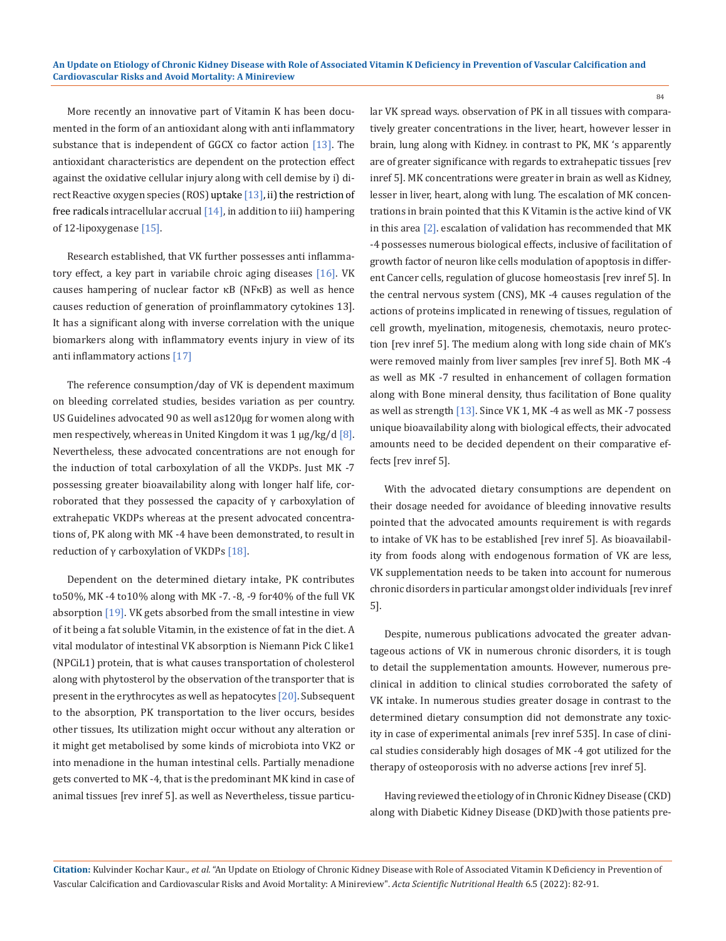More recently an innovative part of Vitamin K has been documented in the form of an antioxidant along with anti inflammatory substance that is independent of GGCX co factor action  $[13]$ . The antioxidant characteristics are dependent on the protection effect against the oxidative cellular injury along with cell demise by i) direct Reactive oxygen species (ROS) uptake  $[13]$ , ii) the restriction of free radicals intracellular accrual  $[14]$ , in addition to iii) hampering of 12-lipoxygenase [15].

Research established, that VK further possesses anti inflammatory effect, a key part in variabile chroic aging diseases [16]. VK causes hampering of nuclear factor κB (NFκB) as well as hence causes reduction of generation of proinflammatory cytokines 13]. It has a significant along with inverse correlation with the unique biomarkers along with inflammatory events injury in view of its anti inflammatory actions [17]

The reference consumption/day of VK is dependent maximum on bleeding correlated studies, besides variation as per country. US Guidelines advocated 90 as well as120μg for women along with men respectively, whereas in United Kingdom it was  $1 \mu g/kg/d$  [8]. Nevertheless, these advocated concentrations are not enough for the induction of total carboxylation of all the VKDPs. Just MK -7 possessing greater bioavailability along with longer half life, corroborated that they possessed the capacity of  $\gamma$  carboxylation of extrahepatic VKDPs whereas at the present advocated concentrations of, PK along with MK -4 have been demonstrated, to result in reduction of  $\gamma$  carboxylation of VKDPs [18].

Dependent on the determined dietary intake, PK contributes to50%, MK -4 to10% along with MK -7. -8, -9 for40% of the full VK absorption [19]. VK gets absorbed from the small intestine in view of it being a fat soluble Vitamin, in the existence of fat in the diet. A vital modulator of intestinal VK absorption is Niemann Pick C like1 (NPCiL1) protein, that is what causes transportation of cholesterol along with phytosterol by the observation of the transporter that is present in the erythrocytes as well as hepatocytes [20]. Subsequent to the absorption, PK transportation to the liver occurs, besides other tissues, Its utilization might occur without any alteration or it might get metabolised by some kinds of microbiota into VK2 or into menadione in the human intestinal cells. Partially menadione gets converted to MK -4, that is the predominant MK kind in case of animal tissues [rev inref 5]. as well as Nevertheless, tissue particular VK spread ways. observation of PK in all tissues with comparatively greater concentrations in the liver, heart, however lesser in brain, lung along with Kidney. in contrast to PK, MK 's apparently are of greater significance with regards to extrahepatic tissues [rev inref 5]. MK concentrations were greater in brain as well as Kidney, lesser in liver, heart, along with lung. The escalation of MK concentrations in brain pointed that this K Vitamin is the active kind of VK in this area [2]. escalation of validation has recommended that MK -4 possesses numerous biological effects, inclusive of facilitation of growth factor of neuron like cells modulation of apoptosis in different Cancer cells, regulation of glucose homeostasis [rev inref 5]. In the central nervous system (CNS), MK -4 causes regulation of the actions of proteins implicated in renewing of tissues, regulation of cell growth, myelination, mitogenesis, chemotaxis, neuro protection [rev inref 5]. The medium along with long side chain of MK's were removed mainly from liver samples [rev inref 5]. Both MK -4 as well as MK -7 resulted in enhancement of collagen formation along with Bone mineral density, thus facilitation of Bone quality as well as strength [13]. Since VK 1, MK -4 as well as MK -7 possess unique bioavailability along with biological effects, their advocated amounts need to be decided dependent on their comparative effects [rev inref 5].

With the advocated dietary consumptions are dependent on their dosage needed for avoidance of bleeding innovative results pointed that the advocated amounts requirement is with regards to intake of VK has to be established [rev inref 5]. As bioavailability from foods along with endogenous formation of VK are less, VK supplementation needs to be taken into account for numerous chronic disorders in particular amongst older individuals [rev inref 5].

Despite, numerous publications advocated the greater advantageous actions of VK in numerous chronic disorders, it is tough to detail the supplementation amounts. However, numerous preclinical in addition to clinical studies corroborated the safety of VK intake. In numerous studies greater dosage in contrast to the determined dietary consumption did not demonstrate any toxicity in case of experimental animals [rev inref 535]. In case of clinical studies considerably high dosages of MK -4 got utilized for the therapy of osteoporosis with no adverse actions [rev inref 5].

Having reviewed the etiology of in Chronic Kidney Disease (CKD) along with Diabetic Kidney Disease (DKD)with those patients pre-

**Citation:** Kulvinder Kochar Kaur*., et al.* "An Update on Etiology of Chronic Kidney Disease with Role of Associated Vitamin K Deficiency in Prevention of Vascular Calcification and Cardiovascular Risks and Avoid Mortality: A Minireview". *Acta Scientific Nutritional Health* 6.5 (2022): 82-91.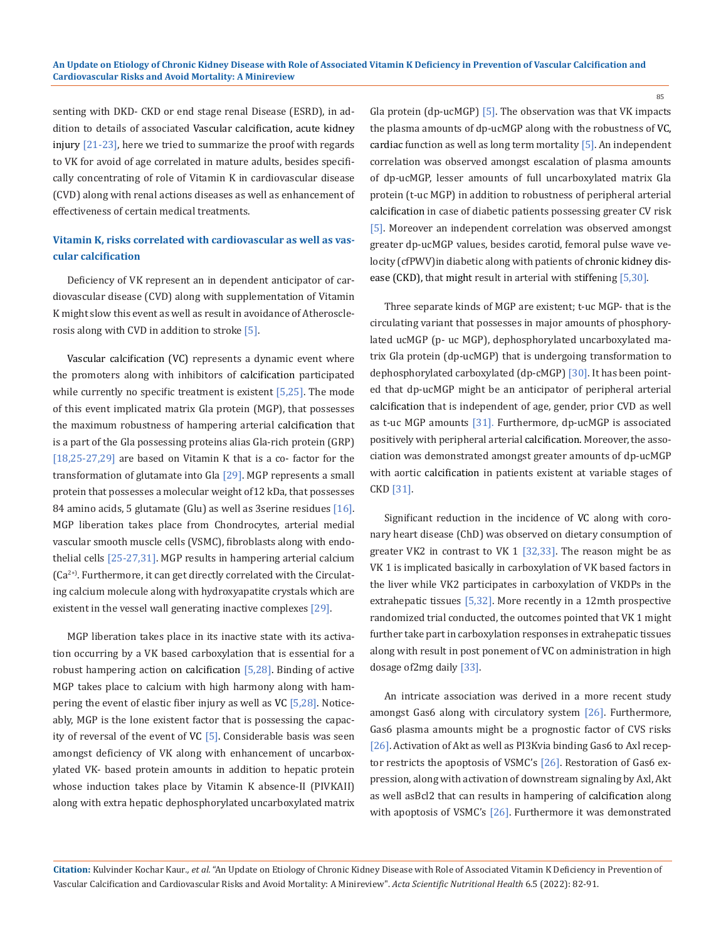senting with DKD- CKD or end stage renal Disease (ESRD), in addition to details of associated Vascular calcification, acute kidney injury [21-23], here we tried to summarize the proof with regards to VK for avoid of age correlated in mature adults, besides specifically concentrating of role of Vitamin K in cardiovascular disease (CVD) along with renal actions diseases as well as enhancement of effectiveness of certain medical treatments.

## **Vitamin K, risks correlated with cardiovascular as well as vascular calcification**

Deficiency of VK represent an in dependent anticipator of cardiovascular disease (CVD) along with supplementation of Vitamin K might slow this event as well as result in avoidance of Atherosclerosis along with CVD in addition to stroke [5].

Vascular calcification (VC) represents a dynamic event where the promoters along with inhibitors of calcification participated while currently no specific treatment is existent  $[5,25]$ . The mode of this event implicated matrix Gla protein (MGP), that possesses the maximum robustness of hampering arterial calcification that is a part of the Gla possessing proteins alias Gla-rich protein (GRP) [18,25-27,29] are based on Vitamin K that is a co- factor for the transformation of glutamate into Gla [29]. MGP represents a small protein that possesses a molecular weight of12 kDa, that possesses 84 amino acids, 5 glutamate (Glu) as well as 3 serine residues  $[16]$ . MGP liberation takes place from Chondrocytes, arterial medial vascular smooth muscle cells (VSMC), fibroblasts along with endothelial cells [25-27,31]. MGP results in hampering arterial calcium (Ca<sup>2+)</sup>. Furthermore, it can get directly correlated with the Circulating calcium molecule along with hydroxyapatite crystals which are existent in the vessel wall generating inactive complexes [29].

MGP liberation takes place in its inactive state with its activation occurring by a VK based carboxylation that is essential for a robust hampering action on calcification [5,28]. Binding of active MGP takes place to calcium with high harmony along with hampering the event of elastic fiber injury as well as VC [5,28]. Noticeably, MGP is the lone existent factor that is possessing the capacity of reversal of the event of  $VC$  [5]. Considerable basis was seen amongst deficiency of VK along with enhancement of uncarboxylated VK- based protein amounts in addition to hepatic protein whose induction takes place by Vitamin K absence-II (PIVKAII) along with extra hepatic dephosphorylated uncarboxylated matrix Gla protein (dp-ucMGP)  $[5]$ . The observation was that VK impacts the plasma amounts of dp-ucMGP along with the robustness of VC, cardiac function as well as long term mortality [5]. An independent correlation was observed amongst escalation of plasma amounts of dp-ucMGP, lesser amounts of full uncarboxylated matrix Gla protein (t-uc MGP) in addition to robustness of peripheral arterial calcification in case of diabetic patients possessing greater CV risk [5]. Moreover an independent correlation was observed amongst greater dp-ucMGP values, besides carotid, femoral pulse wave velocity (cfPWV)in diabetic along with patients of chronic kidney disease (CKD), that might result in arterial with stiffening [5,30].

85

Three separate kinds of MGP are existent; t-uc MGP- that is the circulating variant that possesses in major amounts of phosphorylated ucMGP (p- uc MGP), dephosphorylated uncarboxylated matrix Gla protein (dp-ucMGP) that is undergoing transformation to dephosphorylated carboxylated (dp-cMGP) [30]. It has been pointed that dp-ucMGP might be an anticipator of peripheral arterial calcification that is independent of age, gender, prior CVD as well as t-uc MGP amounts  $[31]$ . Furthermore, dp-ucMGP is associated positively with peripheral arterial calcification. Moreover, the association was demonstrated amongst greater amounts of dp-ucMGP with aortic calcification in patients existent at variable stages of CKD [31].

Significant reduction in the incidence of VC along with coronary heart disease (ChD) was observed on dietary consumption of greater VK2 in contrast to VK 1 [32,33]. The reason might be as VK 1 is implicated basically in carboxylation of VK based factors in the liver while VK2 participates in carboxylation of VKDPs in the extrahepatic tissues [5,32]. More recently in a 12mth prospective randomized trial conducted, the outcomes pointed that VK 1 might further take part in carboxylation responses in extrahepatic tissues along with result in post ponement of VC on administration in high dosage of2mg daily [33].

An intricate association was derived in a more recent study amongst Gas6 along with circulatory system [26]. Furthermore, Gas6 plasma amounts might be a prognostic factor of CVS risks [26]. Activation of Akt as well as PI3Kvia binding Gas6 to Axl receptor restricts the apoptosis of VSMC's [26]. Restoration of Gas6 expression, along with activation of downstream signaling by Axl, Akt as well asBcl2 that can results in hampering of calcification along with apoptosis of VSMC's [26]. Furthermore it was demonstrated

**Citation:** Kulvinder Kochar Kaur*., et al.* "An Update on Etiology of Chronic Kidney Disease with Role of Associated Vitamin K Deficiency in Prevention of Vascular Calcification and Cardiovascular Risks and Avoid Mortality: A Minireview". *Acta Scientific Nutritional Health* 6.5 (2022): 82-91.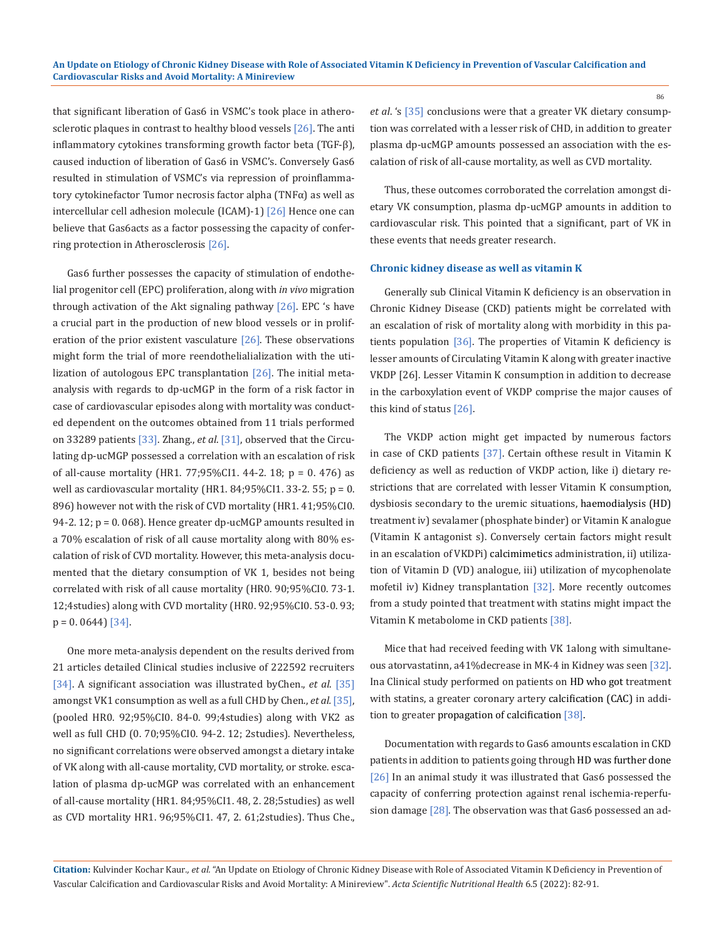that significant liberation of Gas6 in VSMC's took place in atherosclerotic plaques in contrast to healthy blood vessels [26]. The anti inflammatory cytokines transforming growth factor beta (TGF-β), caused induction of liberation of Gas6 in VSMC's. Conversely Gas6 resulted in stimulation of VSMC's via repression of proinflammatory cytokinefactor Tumor necrosis factor alpha (TNFα) as well as intercellular cell adhesion molecule (ICAM)-1) [26] Hence one can believe that Gas6acts as a factor possessing the capacity of conferring protection in Atherosclerosis [26].

Gas6 further possesses the capacity of stimulation of endothelial progenitor cell (EPC) proliferation, along with *in vivo* migration through activation of the Akt signaling pathway  $[26]$ . EPC 's have a crucial part in the production of new blood vessels or in proliferation of the prior existent vasculature  $[26]$ . These observations might form the trial of more reendothelialialization with the utilization of autologous EPC transplantation [26]. The initial metaanalysis with regards to dp-ucMGP in the form of a risk factor in case of cardiovascular episodes along with mortality was conducted dependent on the outcomes obtained from 11 trials performed on 33289 patients [33]. Zhang., *et al*. [31], observed that the Circulating dp-ucMGP possessed a correlation with an escalation of risk of all-cause mortality (HR1. 77;95%CI1. 44-2. 18; p = 0. 476) as well as cardiovascular mortality (HR1. 84;95%CI1. 33-2. 55; p = 0. 896) however not with the risk of CVD mortality (HR1. 41;95%CI0. 94-2. 12; p = 0. 068). Hence greater dp-ucMGP amounts resulted in a 70% escalation of risk of all cause mortality along with 80% escalation of risk of CVD mortality. However, this meta-analysis documented that the dietary consumption of VK 1, besides not being correlated with risk of all cause mortality (HR0. 90;95%CI0. 73-1. 12;4studies) along with CVD mortality (HR0. 92;95%CI0. 53-0. 93;  $p = 0.0644$ ] [34].

One more meta-analysis dependent on the results derived from 21 articles detailed Clinical studies inclusive of 222592 recruiters [34]. A significant association was illustrated byChen., *et al*. [35] amongst VK1 consumption as well as a full CHD by Chen., *et al.* [35], (pooled HR0. 92;95%CI0. 84-0. 99;4studies) along with VK2 as well as full CHD (0. 70;95%CI0. 94-2. 12; 2studies). Nevertheless, no significant correlations were observed amongst a dietary intake of VK along with all-cause mortality, CVD mortality, or stroke. escalation of plasma dp-ucMGP was correlated with an enhancement of all-cause mortality (HR1. 84;95%CI1. 48, 2. 28;5studies) as well as CVD mortality HR1. 96;95%CI1. 47, 2. 61;2studies). Thus Che.,

*et al*. 's [35] conclusions were that a greater VK dietary consumption was correlated with a lesser risk of CHD, in addition to greater plasma dp-ucMGP amounts possessed an association with the escalation of risk of all-cause mortality, as well as CVD mortality.

Thus, these outcomes corroborated the correlation amongst dietary VK consumption, plasma dp-ucMGP amounts in addition to cardiovascular risk. This pointed that a significant, part of VK in these events that needs greater research.

#### **Chronic kidney disease as well as vitamin K**

Generally sub Clinical Vitamin K deficiency is an observation in Chronic Kidney Disease (CKD) patients might be correlated with an escalation of risk of mortality along with morbidity in this patients population [36]. The properties of Vitamin K deficiency is lesser amounts of Circulating Vitamin K along with greater inactive VKDP [26]. Lesser Vitamin K consumption in addition to decrease in the carboxylation event of VKDP comprise the major causes of this kind of status [26].

The VKDP action might get impacted by numerous factors in case of CKD patients [37]. Certain ofthese result in Vitamin K deficiency as well as reduction of VKDP action, like i) dietary restrictions that are correlated with lesser Vitamin K consumption, dysbiosis secondary to the uremic situations, haemodialysis (HD) treatment iv) sevalamer (phosphate binder) or Vitamin K analogue (Vitamin K antagonist s). Conversely certain factors might result in an escalation of VKDPi) calcimimetics administration, ii) utilization of Vitamin D (VD) analogue, iii) utilization of mycophenolate mofetil iv) Kidney transplantation [32]. More recently outcomes from a study pointed that treatment with statins might impact the Vitamin K metabolome in CKD patients [38].

Mice that had received feeding with VK 1along with simultaneous atorvastatinn, a41%decrease in MK-4 in Kidney was seen [32]. Ina Clinical study performed on patients on HD who got treatment with statins, a greater coronary artery calcification (CAC) in addition to greater propagation of calcification [38].

Documentation with regards to Gas6 amounts escalation in CKD patients in addition to patients going through HD was further done [26] In an animal study it was illustrated that Gas6 possessed the capacity of conferring protection against renal ischemia-reperfusion damage [28]. The observation was that Gas6 possessed an ad-

**Citation:** Kulvinder Kochar Kaur*., et al.* "An Update on Etiology of Chronic Kidney Disease with Role of Associated Vitamin K Deficiency in Prevention of Vascular Calcification and Cardiovascular Risks and Avoid Mortality: A Minireview". *Acta Scientific Nutritional Health* 6.5 (2022): 82-91.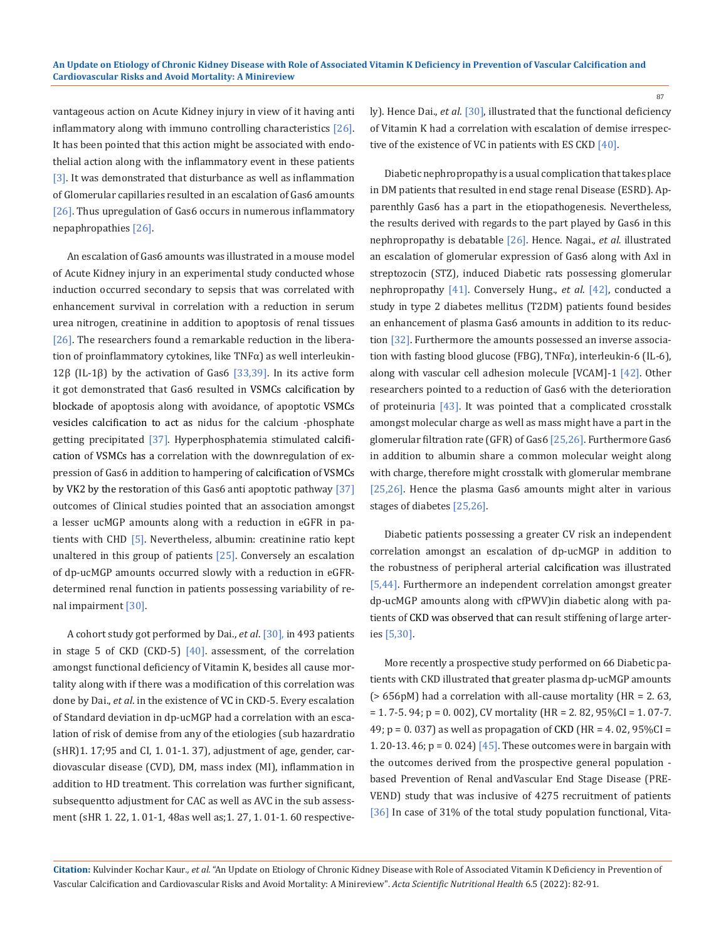vantageous action on Acute Kidney injury in view of it having anti inflammatory along with immuno controlling characteristics [26]. It has been pointed that this action might be associated with endothelial action along with the inflammatory event in these patients [3]. It was demonstrated that disturbance as well as inflammation of Glomerular capillaries resulted in an escalation of Gas6 amounts [26]. Thus upregulation of Gas6 occurs in numerous inflammatory nepaphropathies [26].

An escalation of Gas6 amounts was illustrated in a mouse model of Acute Kidney injury in an experimental study conducted whose induction occurred secondary to sepsis that was correlated with enhancement survival in correlation with a reduction in serum urea nitrogen, creatinine in addition to apoptosis of renal tissues [26]. The researchers found a remarkable reduction in the liberation of proinflammatory cytokines, like TNFα) as well interleukin-12β (IL-1β) by the activation of Gas6 [33,39]. In its active form it got demonstrated that Gas6 resulted in VSMCs calcification by blockade of apoptosis along with avoidance, of apoptotic VSMCs vesicles calcification to act as nidus for the calcium -phosphate getting precipitated [37]. Hyperphosphatemia stimulated calcification of VSMCs has a correlation with the downregulation of expression of Gas6 in addition to hampering of calcification of VSMCs by VK2 by the restoration of this Gas6 anti apoptotic pathway [37] outcomes of Clinical studies pointed that an association amongst a lesser ucMGP amounts along with a reduction in eGFR in patients with CHD [5]. Nevertheless, albumin: creatinine ratio kept unaltered in this group of patients [25]. Conversely an escalation of dp-ucMGP amounts occurred slowly with a reduction in eGFRdetermined renal function in patients possessing variability of renal impairment [30].

A cohort study got performed by Dai., *et al*. [30], in 493 patients in stage 5 of CKD (CKD-5)  $[40]$ . assessment, of the correlation amongst functional deficiency of Vitamin K, besides all cause mortality along with if there was a modification of this correlation was done by Dai., *et al*. in the existence of VC in CKD-5. Every escalation of Standard deviation in dp-ucMGP had a correlation with an escalation of risk of demise from any of the etiologies (sub hazardratio (sHR)1. 17;95 and CI, 1. 01-1. 37), adjustment of age, gender, cardiovascular disease (CVD), DM, mass index (MI), inflammation in addition to HD treatment. This correlation was further significant, subsequentto adjustment for CAC as well as AVC in the sub assessment (sHR 1. 22, 1. 01-1, 48as well as;1. 27, 1. 01-1. 60 respectively). Hence Dai., *et al*. [30], illustrated that the functional deficiency of Vitamin K had a correlation with escalation of demise irrespective of the existence of VC in patients with ES CKD [40].

Diabetic nephropropathy is a usual complication that takes place in DM patients that resulted in end stage renal Disease (ESRD). Apparenthly Gas6 has a part in the etiopathogenesis. Nevertheless, the results derived with regards to the part played by Gas6 in this nephropropathy is debatable [26]. Hence. Nagai., *et al.* illustrated an escalation of glomerular expression of Gas6 along with Axl in streptozocin (STZ), induced Diabetic rats possessing glomerular nephropropathy [41]. Conversely Hung., *et al*. [42], conducted a study in type 2 diabetes mellitus (T2DM) patients found besides an enhancement of plasma Gas6 amounts in addition to its reduction [32]. Furthermore the amounts possessed an inverse association with fasting blood glucose (FBG), TNFα), interleukin-6 (IL-6), along with vascular cell adhesion molecule [VCAM]-1 [42]. Other researchers pointed to a reduction of Gas6 with the deterioration of proteinuria [43]. It was pointed that a complicated crosstalk amongst molecular charge as well as mass might have a part in the glomerular filtration rate (GFR) of Gas6 [25,26]. Furthermore Gas6 in addition to albumin share a common molecular weight along with charge, therefore might crosstalk with glomerular membrane [25,26]. Hence the plasma Gas6 amounts might alter in various stages of diabetes [25,26].

Diabetic patients possessing a greater CV risk an independent correlation amongst an escalation of dp-ucMGP in addition to the robustness of peripheral arterial calcification was illustrated [5,44]. Furthermore an independent correlation amongst greater dp-ucMGP amounts along with cfPWV)in diabetic along with patients of CKD was observed that can result stiffening of large arteries [5,30].

More recently a prospective study performed on 66 Diabetic patients with CKD illustrated that greater plasma dp-ucMGP amounts  $(> 656pM)$  had a correlation with all-cause mortality (HR = 2.63,  $= 1.7 - 5.94$ ; p = 0.002), CV mortality (HR = 2.82, 95%CI = 1.07-7. 49; p = 0. 037) as well as propagation of CKD (HR = 4. 02, 95%CI = 1. 20-13. 46;  $p = 0.024$  [45]. These outcomes were in bargain with the outcomes derived from the prospective general population based Prevention of Renal andVascular End Stage Disease (PRE-VEND) study that was inclusive of 4275 recruitment of patients [36] In case of 31% of the total study population functional, Vita-

**Citation:** Kulvinder Kochar Kaur*., et al.* "An Update on Etiology of Chronic Kidney Disease with Role of Associated Vitamin K Deficiency in Prevention of Vascular Calcification and Cardiovascular Risks and Avoid Mortality: A Minireview". *Acta Scientific Nutritional Health* 6.5 (2022): 82-91.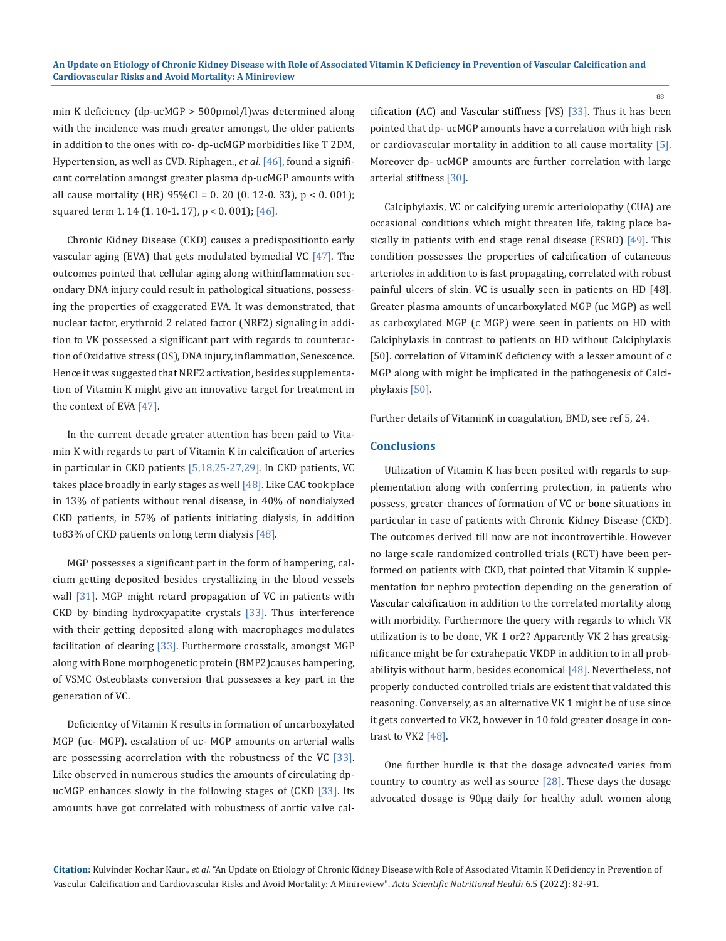min K deficiency (dp-ucMGP > 500pmol/l)was determined along with the incidence was much greater amongst, the older patients in addition to the ones with co- dp-ucMGP morbidities like T 2DM, Hypertension, as well as CVD. Riphagen., *et al*. [46], found a significant correlation amongst greater plasma dp-ucMGP amounts with all cause mortality (HR) 95%CI = 0. 20 (0. 12-0. 33), p < 0. 001); squared term 1.14 (1.10-1.17), p < 0.001); [46].

Chronic Kidney Disease (CKD) causes a predispositionto early vascular aging (EVA) that gets modulated bymedial VC  $[47]$ . The outcomes pointed that cellular aging along withinflammation secondary DNA injury could result in pathological situations, possessing the properties of exaggerated EVA. It was demonstrated, that nuclear factor, erythroid 2 related factor (NRF2) signaling in addition to VK possessed a significant part with regards to counteraction of Oxidative stress (OS), DNA injury, inflammation, Senescence. Hence it was suggested that NRF2 activation, besides supplementation of Vitamin K might give an innovative target for treatment in the context of EVA [47].

In the current decade greater attention has been paid to Vitamin K with regards to part of Vitamin K in calcification of arteries in particular in CKD patients [5,18,25-27,29]. In CKD patients, VC takes place broadly in early stages as well [48]. Like CAC took place in 13% of patients without renal disease, in 40% of nondialyzed CKD patients, in 57% of patients initiating dialysis, in addition to83% of CKD patients on long term dialysis [48].

MGP possesses a significant part in the form of hampering, calcium getting deposited besides crystallizing in the blood vessels wall [31]. MGP might retard propagation of VC in patients with CKD by binding hydroxyapatite crystals [33]. Thus interference with their getting deposited along with macrophages modulates facilitation of clearing [33]. Furthermore crosstalk, amongst MGP along with Bone morphogenetic protein (BMP2)causes hampering, of VSMC Osteoblasts conversion that possesses a key part in the generation of VC.

Deficientcy of Vitamin K results in formation of uncarboxylated MGP (uc- MGP). escalation of uc- MGP amounts on arterial walls are possessing acorrelation with the robustness of the VC [33]. Like observed in numerous studies the amounts of circulating dpucMGP enhances slowly in the following stages of (CKD [33]. Its amounts have got correlated with robustness of aortic valve calcification (AC) and Vascular stiffness [VS) [33]. Thus it has been pointed that dp- ucMGP amounts have a correlation with high risk or cardiovascular mortality in addition to all cause mortality [5]. Moreover dp- ucMGP amounts are further correlation with large arterial stiffness [30].

Calciphylaxis, VC or calcifying uremic arteriolopathy (CUA) are occasional conditions which might threaten life, taking place basically in patients with end stage renal disease (ESRD) [49]. This condition possesses the properties of calcification of cutaneous arterioles in addition to is fast propagating, correlated with robust painful ulcers of skin. VC is usually seen in patients on HD [48]. Greater plasma amounts of uncarboxylated MGP (uc MGP) as well as carboxylated MGP (c MGP) were seen in patients on HD with Calciphylaxis in contrast to patients on HD without Calciphylaxis [50]. correlation of VitaminK deficiency with a lesser amount of c MGP along with might be implicated in the pathogenesis of Calciphylaxis [50].

Further details of VitaminK in coagulation, BMD, see ref 5, 24.

### **Conclusions**

Utilization of Vitamin K has been posited with regards to supplementation along with conferring protection, in patients who possess, greater chances of formation of VC or bone situations in particular in case of patients with Chronic Kidney Disease (CKD). The outcomes derived till now are not incontrovertible. However no large scale randomized controlled trials (RCT) have been performed on patients with CKD, that pointed that Vitamin K supplementation for nephro protection depending on the generation of Vascular calcification in addition to the correlated mortality along with morbidity. Furthermore the query with regards to which VK utilization is to be done, VK 1 or2? Apparently VK 2 has greatsignificance might be for extrahepatic VKDP in addition to in all probabilityis without harm, besides economical [48]. Nevertheless, not properly conducted controlled trials are existent that valdated this reasoning. Conversely, as an alternative VK 1 might be of use since it gets converted to VK2, however in 10 fold greater dosage in contrast to VK2 [48].

One further hurdle is that the dosage advocated varies from country to country as well as source  $[28]$ . These days the dosage advocated dosage is 90μg daily for healthy adult women along

**Citation:** Kulvinder Kochar Kaur*., et al.* "An Update on Etiology of Chronic Kidney Disease with Role of Associated Vitamin K Deficiency in Prevention of Vascular Calcification and Cardiovascular Risks and Avoid Mortality: A Minireview". *Acta Scientific Nutritional Health* 6.5 (2022): 82-91.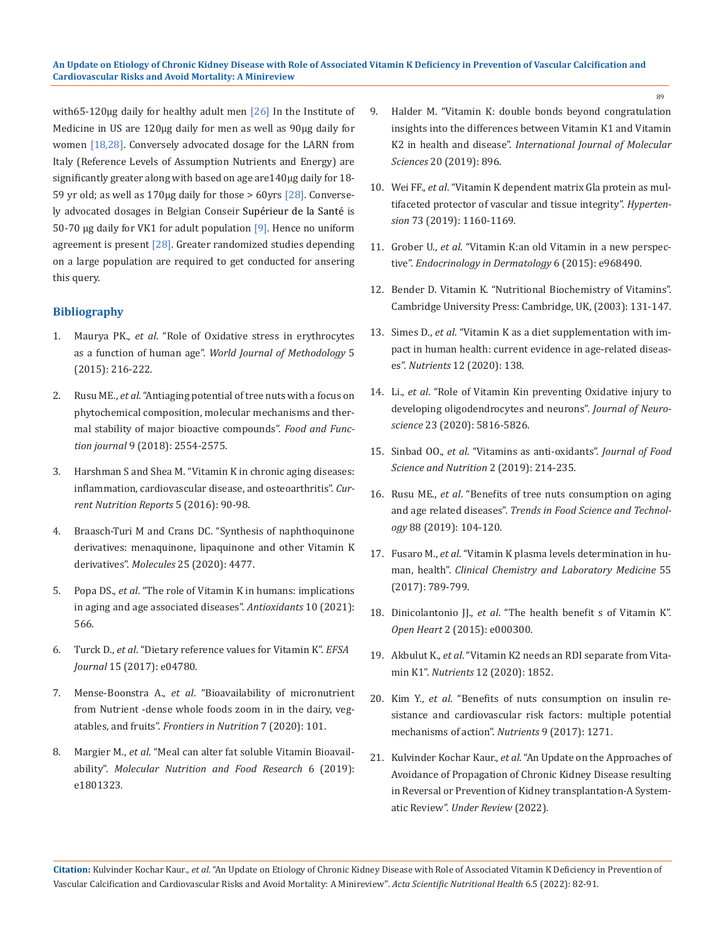with65-120μg daily for healthy adult men [26] In the Institute of Medicine in US are 120μg daily for men as well as 90μg daily for women [18,28]. Conversely advocated dosage for the LARN from Italy (Reference Levels of Assumption Nutrients and Energy) are significantly greater along with based on age are140μg daily for 18- 59 yr old; as well as 170μg daily for those > 60yrs  $[28]$ . Conversely advocated dosages in Belgian Conseir Supérieur de la Santé is 50-70 μg daily for VK1 for adult population [9]. Hence no uniform agreement is present  $[28]$ . Greater randomized studies depending on a large population are required to get conducted for ansering this query.

## **Bibliography**

- 1. Maurya PK., *et al*. "Role of Oxidative stress in erythrocytes as a function of human age". *World Journal of Methodology* 5 (2015): 216-222.
- 2. Rusu ME., *et al*[. "Antiaging potential of tree nuts with a focus on](https://pubmed.ncbi.nlm.nih.gov/29616249/)  [phytochemical composition, molecular mechanisms and ther](https://pubmed.ncbi.nlm.nih.gov/29616249/)[mal stability of major bioactive compounds".](https://pubmed.ncbi.nlm.nih.gov/29616249/) *Food and Function journal* [9 \(2018\): 2554-2575.](https://pubmed.ncbi.nlm.nih.gov/29616249/)
- 3. [Harshman S and Shea M. "Vitamin K in chronic aging diseases:](https://link.springer.com/article/10.1007/s13668-016-0162-x)  [inflammation, cardiovascular disease, and osteoarthritis".](https://link.springer.com/article/10.1007/s13668-016-0162-x) *Cur[rent Nutrition Reports](https://link.springer.com/article/10.1007/s13668-016-0162-x)* 5 (2016): 90-98.
- 4. [Braasch-Turi M and Crans DC. "Synthesis of naphthoquinone](https://pubmed.ncbi.nlm.nih.gov/33003459/)  [derivatives: menaquinone, lipaquinone and other Vitamin K](https://pubmed.ncbi.nlm.nih.gov/33003459/)  derivatives". *Molecules* [25 \(2020\): 4477.](https://pubmed.ncbi.nlm.nih.gov/33003459/)
- 5. Popa DS., *et al*[. "The role of Vitamin K in humans: implications](https://pubmed.ncbi.nlm.nih.gov/33917442/)  [in aging and age associated diseases".](https://pubmed.ncbi.nlm.nih.gov/33917442/) *Antioxidants* 10 (2021): [566.](https://pubmed.ncbi.nlm.nih.gov/33917442/)
- 6. Turck D., *et al*[. "Dietary reference values for Vitamin K".](https://www.efsa.europa.eu/en/efsajournal/pub/4780) *EFSA Journal* [15 \(2017\): e04780.](https://www.efsa.europa.eu/en/efsajournal/pub/4780)
- 7. Mense-Boonstra A., *et al*. "Bioavailability of micronutrient from Nutrient -dense whole foods zoom in in the dairy, vegatables, and fruits". *Frontiers in Nutrition* 7 (2020): 101.
- 8. Margier M., *et al*[. "Meal can alter fat soluble Vitamin Bioavail](https://pubmed.ncbi.nlm.nih.gov/30920145/)ability". *[Molecular Nutrition and Food Research](https://pubmed.ncbi.nlm.nih.gov/30920145/)* 6 (2019): [e1801323.](https://pubmed.ncbi.nlm.nih.gov/30920145/)
- 9. [Halder M. "Vitamin K: double bonds beyond congratulation](https://pubmed.ncbi.nlm.nih.gov/30791399/)  [insights into the differences between Vitamin K1 and Vitamin](https://pubmed.ncbi.nlm.nih.gov/30791399/)  K2 in health and disease". *[International Journal of Molecular](https://pubmed.ncbi.nlm.nih.gov/30791399/)  Sciences* [20 \(2019\): 896.](https://pubmed.ncbi.nlm.nih.gov/30791399/)
- 10. Wei FF., *et al*[. "Vitamin K dependent matrix Gla protein as mul](https://www.ncbi.nlm.nih.gov/pmc/articles/PMC6510326/)[tifaceted protector of vascular and tissue integrity".](https://www.ncbi.nlm.nih.gov/pmc/articles/PMC6510326/) *Hypertension* [73 \(2019\): 1160-1169.](https://www.ncbi.nlm.nih.gov/pmc/articles/PMC6510326/)
- 11. Grober U., *et al*[. "Vitamin K:an old Vitamin in a new perspec](https://pubmed.ncbi.nlm.nih.gov/26413183/)tive". *[Endocrinology in Dermatology](https://pubmed.ncbi.nlm.nih.gov/26413183/)* 6 (2015): e968490.
- 12. [Bender D. Vitamin K. "Nutritional Biochemistry of Vitamins".](https://www.cambridge.org/core/books/nutritional-biochemistry-of-the-vitamins/10B31039A2B0F4B4DC58A89C523FAE97)  [Cambridge University Press: Cambridge, UK, \(2003\): 131-147.](https://www.cambridge.org/core/books/nutritional-biochemistry-of-the-vitamins/10B31039A2B0F4B4DC58A89C523FAE97)
- 13. Simes D., *et al*[. "Vitamin K as a diet supplementation with im](https://pubmed.ncbi.nlm.nih.gov/31947821/)[pact in human health: current evidence in age-related diseas](https://pubmed.ncbi.nlm.nih.gov/31947821/)es". *Nutrients* [12 \(2020\): 138.](https://pubmed.ncbi.nlm.nih.gov/31947821/)
- 14. Li., *et al*[. "Role of Vitamin Kin preventing Oxidative injury to](https://pubmed.ncbi.nlm.nih.gov/12843286/)  [developing oligodendrocytes and neurons".](https://pubmed.ncbi.nlm.nih.gov/12843286/) *Journal of Neuroscience* [23 \(2020\): 5816-5826.](https://pubmed.ncbi.nlm.nih.gov/12843286/)
- 15. Sinbad OO., *et al*[. "Vitamins as anti-oxidants".](https://www.fortunejournals.com/articles/vitamins-as-antioxidants.html) *Journal of Food [Science and Nutrition](https://www.fortunejournals.com/articles/vitamins-as-antioxidants.html)* 2 (2019): 214-235.
- 16. Rusu ME., *et al*[. "Benefits of tree nuts consumption on aging](https://www.sciencedirect.com/science/article/abs/pii/S0924224418308203)  and age related diseases". *[Trends in Food Science and Technol](https://www.sciencedirect.com/science/article/abs/pii/S0924224418308203)ogy* [88 \(2019\): 104-120.](https://www.sciencedirect.com/science/article/abs/pii/S0924224418308203)
- 17. Fusaro M., *et al*[. "Vitamin K plasma levels determination in hu](https://pubmed.ncbi.nlm.nih.gov/27732556/)man, health". *[Clinical Chemistry and Laboratory Medicine](https://pubmed.ncbi.nlm.nih.gov/27732556/)* 55 [\(2017\): 789-799.](https://pubmed.ncbi.nlm.nih.gov/27732556/)
- 18. Dinicolantonio JJ., *et al*[. "The health benefit s of Vitamin K".](https://pubmed.ncbi.nlm.nih.gov/26468402/)  *Open Heart* [2 \(2015\): e000300.](https://pubmed.ncbi.nlm.nih.gov/26468402/)
- 19. Akbulut K., *et al*[. "Vitamin K2 needs an RDI separate from Vita](https://www.ncbi.nlm.nih.gov/pmc/articles/PMC7353270/)min K1". *Nutrients* [12 \(2020\): 1852.](https://www.ncbi.nlm.nih.gov/pmc/articles/PMC7353270/)
- 20. Kim Y., *et al*[. "Benefits of nuts consumption on insulin re](https://pubmed.ncbi.nlm.nih.gov/29165404/)[sistance and cardiovascular risk factors: multiple potential](https://pubmed.ncbi.nlm.nih.gov/29165404/)  [mechanisms of action".](https://pubmed.ncbi.nlm.nih.gov/29165404/) *Nutrients* 9 (2017): 1271.
- 21. Kulvinder Kochar Kaur., *et al*. "An Update on the Approaches of Avoidance of Propagation of Chronic Kidney Disease resulting in Reversal or Prevention of Kidney transplantation-A Systematic Review". *Under Review* (2022).

**Citation:** Kulvinder Kochar Kaur*., et al.* "An Update on Etiology of Chronic Kidney Disease with Role of Associated Vitamin K Deficiency in Prevention of Vascular Calcification and Cardiovascular Risks and Avoid Mortality: A Minireview". *Acta Scientific Nutritional Health* 6.5 (2022): 82-91.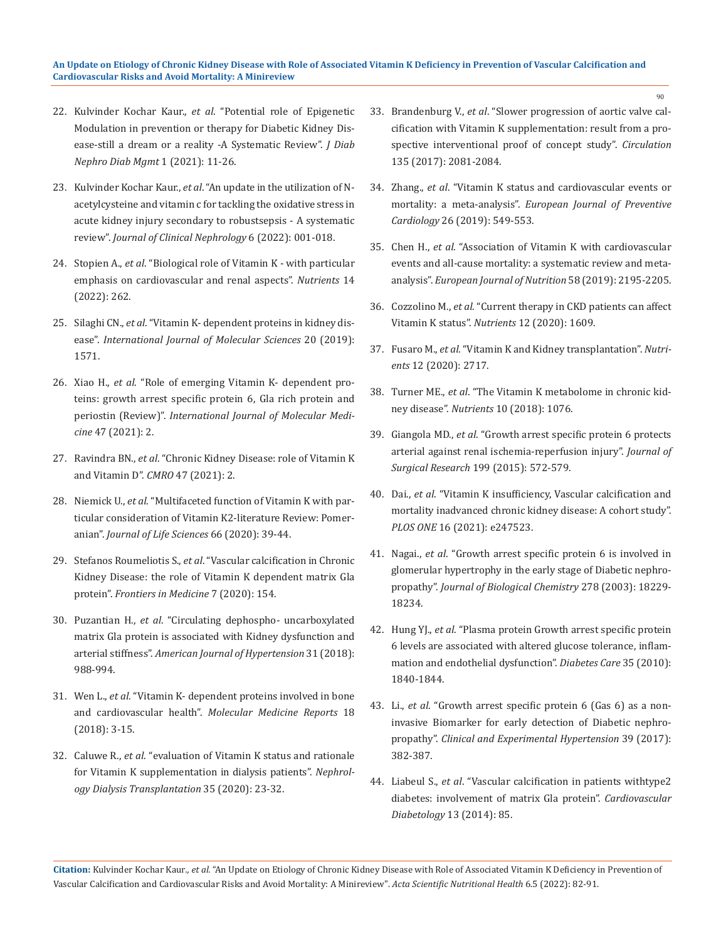- 22. Kulvinder Kochar Kaur., *et al*. "Potential role of Epigenetic Modulation in prevention or therapy for Diabetic Kidney Disease-still a dream or a reality -A Systematic Review". *J Diab Nephro Diab Mgmt* 1 (2021): 11-26.
- 23. Kulvinder Kochar Kaur., *et al*[. "An update in the utilization of N](https://www.researchgate.net/publication/358411867_An_update_in_the_utilization_of_N-acetyl_cysteine_vitamin_c_for_tackling_the_oxidative_stress_in_acute_kidney_injury_secondary_to_robust_sepsis_-A_systematic_review)[acetylcysteine and vitamin c for tackling the oxidative stress in](https://www.researchgate.net/publication/358411867_An_update_in_the_utilization_of_N-acetyl_cysteine_vitamin_c_for_tackling_the_oxidative_stress_in_acute_kidney_injury_secondary_to_robust_sepsis_-A_systematic_review)  [acute kidney injury secondary to robustsepsis - A systematic](https://www.researchgate.net/publication/358411867_An_update_in_the_utilization_of_N-acetyl_cysteine_vitamin_c_for_tackling_the_oxidative_stress_in_acute_kidney_injury_secondary_to_robust_sepsis_-A_systematic_review)  review". *[Journal of Clinical Nephrology](https://www.researchgate.net/publication/358411867_An_update_in_the_utilization_of_N-acetyl_cysteine_vitamin_c_for_tackling_the_oxidative_stress_in_acute_kidney_injury_secondary_to_robust_sepsis_-A_systematic_review)* 6 (2022): 001-018.
- 24. Stopien A., *et al*[. "Biological role of Vitamin K with particular](https://pubmed.ncbi.nlm.nih.gov/35057443/)  [emphasis on cardiovascular and renal aspects".](https://pubmed.ncbi.nlm.nih.gov/35057443/) *Nutrients* 14 [\(2022\): 262.](https://pubmed.ncbi.nlm.nih.gov/35057443/)
- 25. Silaghi CN., *et al*[. "Vitamin K- dependent proteins in kidney dis](https://www.ncbi.nlm.nih.gov/pmc/articles/PMC6479974/)ease". *[International Journal of Molecular Sciences](https://www.ncbi.nlm.nih.gov/pmc/articles/PMC6479974/)* 20 (2019): [1571.](https://www.ncbi.nlm.nih.gov/pmc/articles/PMC6479974/)
- 26. Xiao H., *et al*[. "Role of emerging Vitamin K- dependent pro](https://pubmed.ncbi.nlm.nih.gov/33448308/)[teins: growth arrest specific protein 6, Gla rich protein and](https://pubmed.ncbi.nlm.nih.gov/33448308/)  periostin (Review)". *[International Journal of Molecular Medi](https://pubmed.ncbi.nlm.nih.gov/33448308/)cine* [47 \(2021\): 2.](https://pubmed.ncbi.nlm.nih.gov/33448308/)
- 27. Ravindra BN., *et al*[. "Chronic Kidney Disease: role of Vitamin K](https://www.cmro.in/index.php/jcmro/article/view/401)  [and Vitamin D".](https://www.cmro.in/index.php/jcmro/article/view/401) *CMRO* 47 (2021): 2.
- 28. Niemick U., *et al*[. "Multifaceted function of Vitamin K with par](https://sciendo.com/article/10.21164/pomjlifesci.477)[ticular consideration of Vitamin K2-literature Review: Pomer](https://sciendo.com/article/10.21164/pomjlifesci.477)anian". *[Journal of Life Sciences](https://sciendo.com/article/10.21164/pomjlifesci.477)* 66 (2020): 39-44.
- 29. Stefanos Roumeliotis S., *et al*[. "Vascular calcification in Chronic](https://pubmed.ncbi.nlm.nih.gov/32391368/)  [Kidney Disease: the role of Vitamin K dependent matrix Gla](https://pubmed.ncbi.nlm.nih.gov/32391368/)  protein". *[Frontiers in Medicine](https://pubmed.ncbi.nlm.nih.gov/32391368/)* 7 (2020): 154.
- 30. Puzantian H., *et al*[. "Circulating dephospho- uncarboxylated](https://pubmed.ncbi.nlm.nih.gov/29788226/)  [matrix Gla protein is associated with Kidney dysfunction and](https://pubmed.ncbi.nlm.nih.gov/29788226/)  arterial stiffness". *[American Journal of Hypertension](https://pubmed.ncbi.nlm.nih.gov/29788226/)* 31 (2018): [988-994.](https://pubmed.ncbi.nlm.nih.gov/29788226/)
- 31. Wen L., *et al*[. "Vitamin K- dependent proteins involved in bone](https://pubmed.ncbi.nlm.nih.gov/29749440/)  and cardiovascular health". *[Molecular Medicine Reports](https://pubmed.ncbi.nlm.nih.gov/29749440/)* 18 [\(2018\): 3-15.](https://pubmed.ncbi.nlm.nih.gov/29749440/)
- 32. Caluwe R., *et al*[. "evaluation of Vitamin K status and rationale](https://pubmed.ncbi.nlm.nih.gov/30590803/)  [for Vitamin K supplementation in dialysis patients".](https://pubmed.ncbi.nlm.nih.gov/30590803/) *Nephrol[ogy Dialysis Transplantation](https://pubmed.ncbi.nlm.nih.gov/30590803/)* 35 (2020): 23-32.
- 33. Brandenburg V., *et al*[. "Slower progression of aortic valve cal](https://pubmed.ncbi.nlm.nih.gov/28533322/)[cification with Vitamin K supplementation: result from a pro](https://pubmed.ncbi.nlm.nih.gov/28533322/)[spective interventional proof of concept study".](https://pubmed.ncbi.nlm.nih.gov/28533322/) *Circulation* [135 \(2017\): 2081-2084.](https://pubmed.ncbi.nlm.nih.gov/28533322/)
- 34. Zhang., *et al*[. "Vitamin K status and cardiovascular events or](https://academic.oup.com/eurjpc/article/26/5/549/5925677)  mortality: a meta-analysis". *[European Journal of Preventive](https://academic.oup.com/eurjpc/article/26/5/549/5925677)  Cardiology* [26 \(2019\): 549-553.](https://academic.oup.com/eurjpc/article/26/5/549/5925677)
- 35. Chen H., *et al*[. "Association of Vitamin K with cardiovascular](https://pubmed.ncbi.nlm.nih.gov/31119401/)  [events and all-cause mortality: a systematic review and meta](https://pubmed.ncbi.nlm.nih.gov/31119401/)analysis". *[European Journal of Nutrition](https://pubmed.ncbi.nlm.nih.gov/31119401/)* 58 (2019): 2195-2205.
- 36. Cozzolino M., *et al*[. "Current therapy in CKD patients can affect](https://www.ncbi.nlm.nih.gov/pmc/articles/PMC7352600/)  [Vitamin K status".](https://www.ncbi.nlm.nih.gov/pmc/articles/PMC7352600/) *Nutrients* 12 (2020): 1609.
- 37. Fusaro M., *et al*[. "Vitamin K and Kidney transplantation".](https://www.ncbi.nlm.nih.gov/pmc/articles/PMC7551925/) *Nutrients* [12 \(2020\): 2717.](https://www.ncbi.nlm.nih.gov/pmc/articles/PMC7551925/)
- 38. Turner ME., *et al*[. "The Vitamin K metabolome in chronic kid](https://www.ncbi.nlm.nih.gov/pmc/articles/PMC6115832/)ney disease". *Nutrients* [10 \(2018\): 1076.](https://www.ncbi.nlm.nih.gov/pmc/articles/PMC6115832/)
- 39. Giangola MD., *et al*[. "Growth arrest specific protein 6 protects](https://pubmed.ncbi.nlm.nih.gov/26182998/)  [arterial against renal ischemia-reperfusion injury".](https://pubmed.ncbi.nlm.nih.gov/26182998/) *Journal of [Surgical Research](https://pubmed.ncbi.nlm.nih.gov/26182998/)* 199 (2015): 572-579.
- 40. Dai., *et al*[. "Vitamin K insufficiency, Vascular calcification and](https://pubmed.ncbi.nlm.nih.gov/33626087/)  [mortality inadvanced chronic kidney disease: A cohort study".](https://pubmed.ncbi.nlm.nih.gov/33626087/)  *PLOS ONE* [16 \(2021\): e247523.](https://pubmed.ncbi.nlm.nih.gov/33626087/)
- 41. Nagai., *et al*[. "Growth arrest specific protein 6 is involved in](https://pubmed.ncbi.nlm.nih.gov/12644472/)  [glomerular hypertrophy in the early stage of Diabetic nephro](https://pubmed.ncbi.nlm.nih.gov/12644472/)propathy". *[Journal of Biological Chemistry](https://pubmed.ncbi.nlm.nih.gov/12644472/)* 278 (2003): 18229- [18234.](https://pubmed.ncbi.nlm.nih.gov/12644472/)
- 42. Hung YJ., *et al*[. "Plasma protein Growth arrest specific protein](https://pubmed.ncbi.nlm.nih.gov/20504897/)  [6 levels are associated with altered glucose tolerance, inflam](https://pubmed.ncbi.nlm.nih.gov/20504897/)[mation and endothelial dysfunction".](https://pubmed.ncbi.nlm.nih.gov/20504897/) *Diabetes Care* 35 (2010): [1840-1844.](https://pubmed.ncbi.nlm.nih.gov/20504897/)
- 43. Li., *et al*[. "Growth arrest specific protein 6 \(Gas 6\) as a non](https://pubmed.ncbi.nlm.nih.gov/28513288/)[invasive Biomarker for early detection of Diabetic nephro](https://pubmed.ncbi.nlm.nih.gov/28513288/)propathy". *[Clinical and Experimental Hypertension](https://pubmed.ncbi.nlm.nih.gov/28513288/)* 39 (2017): [382-387.](https://pubmed.ncbi.nlm.nih.gov/28513288/)
- 44. Liabeul S., *et al*[. "Vascular calcification in patients withtype2](https://pubmed.ncbi.nlm.nih.gov/24762216/)  [diabetes: involvement of matrix Gla protein".](https://pubmed.ncbi.nlm.nih.gov/24762216/) *Cardiovascular [Diabetology](https://pubmed.ncbi.nlm.nih.gov/24762216/)* 13 (2014): 85.

**Citation:** Kulvinder Kochar Kaur*., et al.* "An Update on Etiology of Chronic Kidney Disease with Role of Associated Vitamin K Deficiency in Prevention of Vascular Calcification and Cardiovascular Risks and Avoid Mortality: A Minireview". *Acta Scientific Nutritional Health* 6.5 (2022): 82-91.